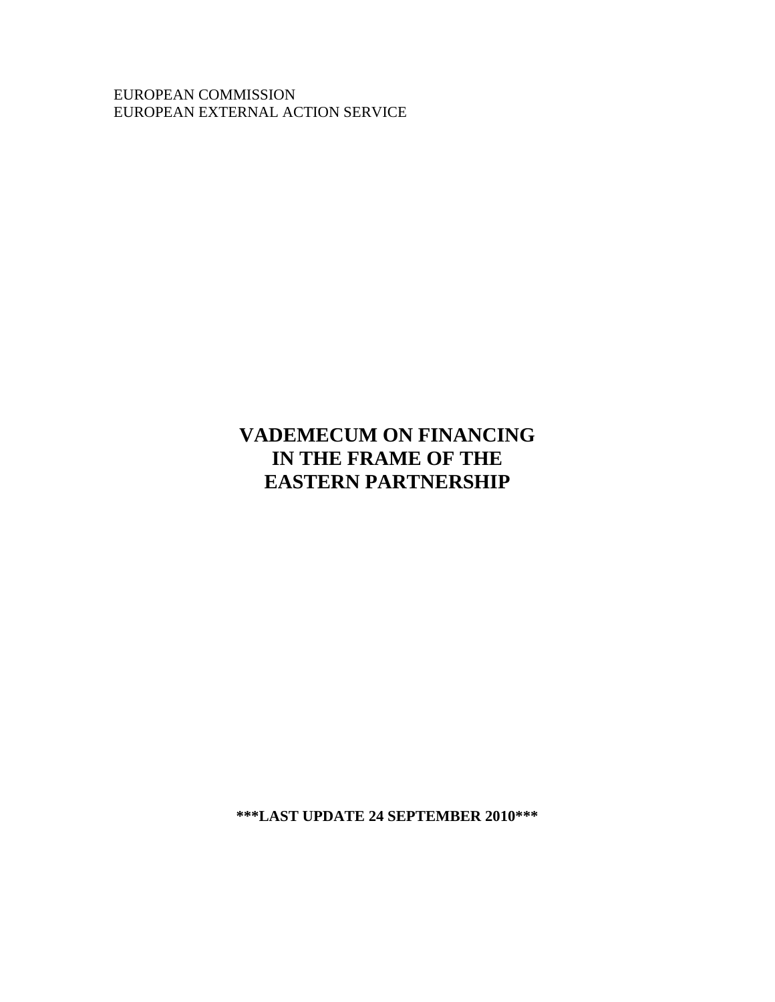EUROPEAN COMMISSION EUROPEAN EXTERNAL ACTION SERVICE

# **VADEMECUM ON FINANCING IN THE FRAME OF THE EASTERN PARTNERSHIP**

**\*\*\*LAST UPDATE 24 SEPTEMBER 2010\*\*\***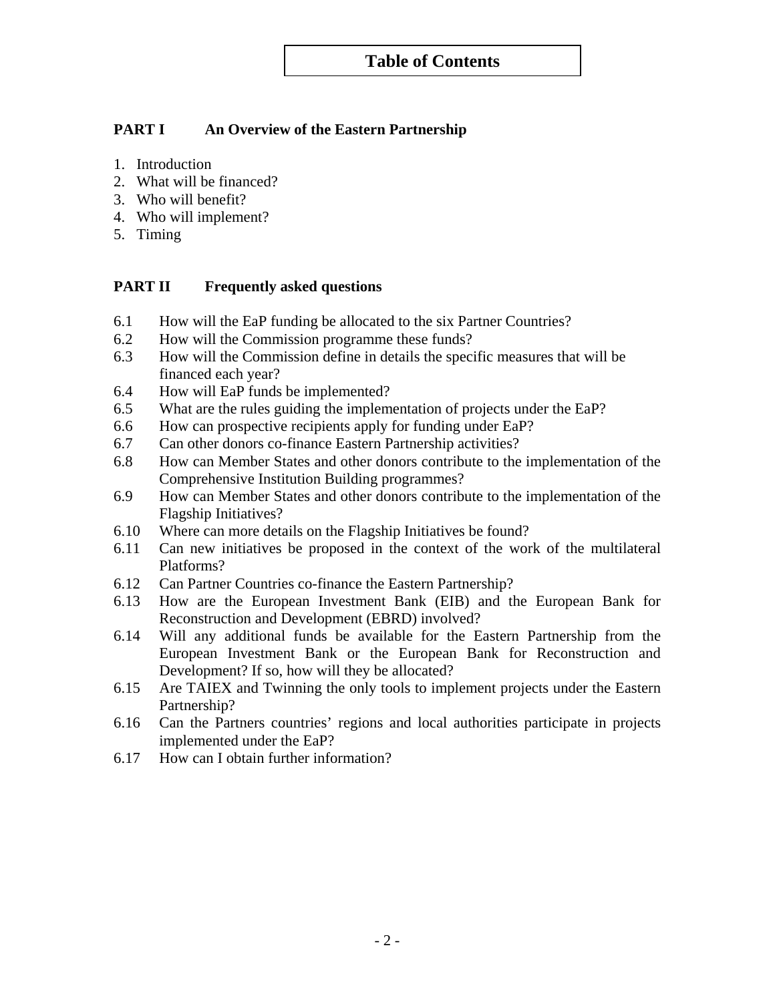# **PART I An Overview of the Eastern Partnership**

- 1. Introduction
- 2. What will be financed?
- 3. Who will benefit?
- 4. Who will implement?
- 5. Timing

# **PART II** Frequently asked questions

- 6.1 How will the EaP funding be allocated to the six Partner Countries?
- 6.2 How will the Commission programme these funds?
- 6.3 How will the Commission define in details the specific measures that will be financed each year?
- 6.4 How will EaP funds be implemented?
- 6.5 What are the rules guiding the implementation of projects under the EaP?
- 6.6 How can prospective recipients apply for funding under EaP?
- 6.7 Can other donors co-finance Eastern Partnership activities?
- 6.8 How can Member States and other donors contribute to the implementation of the Comprehensive Institution Building programmes?
- 6.9 How can Member States and other donors contribute to the implementation of the Flagship Initiatives?
- 6.10 Where can more details on the Flagship Initiatives be found?
- 6.11 Can new initiatives be proposed in the context of the work of the multilateral Platforms?
- 6.12 Can Partner Countries co-finance the Eastern Partnership?
- 6.13 How are the European Investment Bank (EIB) and the European Bank for Reconstruction and Development (EBRD) involved?
- 6.14 Will any additional funds be available for the Eastern Partnership from the European Investment Bank or the European Bank for Reconstruction and Development? If so, how will they be allocated?
- 6.15 Are TAIEX and Twinning the only tools to implement projects under the Eastern Partnership?
- 6.16 Can the Partners countries' regions and local authorities participate in projects implemented under the EaP?
- 6.17 How can I obtain further information?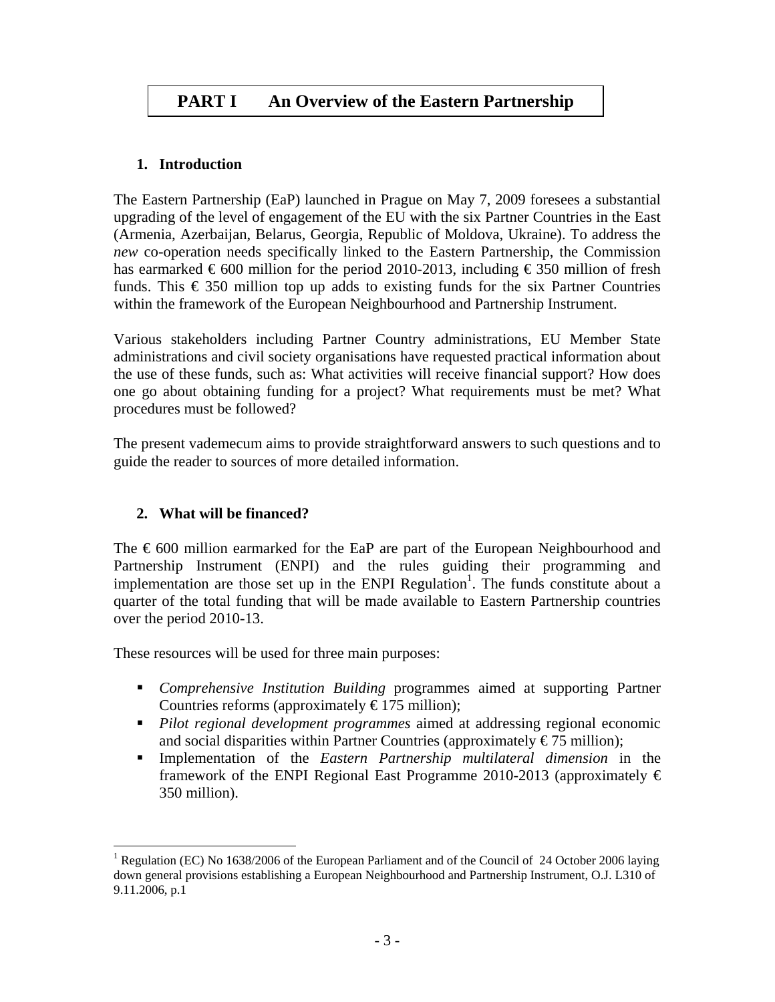# **PART I An Overview of the Eastern Partnership**

# **1. Introduction**

The Eastern Partnership (EaP) launched in Prague on May 7, 2009 foresees a substantial upgrading of the level of engagement of the EU with the six Partner Countries in the East (Armenia, Azerbaijan, Belarus, Georgia, Republic of Moldova, Ukraine). To address the *new* co-operation needs specifically linked to the Eastern Partnership, the Commission has earmarked  $\epsilon$  600 million for the period 2010-2013, including  $\epsilon$  350 million of fresh funds. This  $\epsilon$  350 million top up adds to existing funds for the six Partner Countries within the framework of the European Neighbourhood and Partnership Instrument.

Various stakeholders including Partner Country administrations, EU Member State administrations and civil society organisations have requested practical information about the use of these funds, such as: What activities will receive financial support? How does one go about obtaining funding for a project? What requirements must be met? What procedures must be followed?

The present vademecum aims to provide straightforward answers to such questions and to guide the reader to sources of more detailed information.

# **2. What will be financed?**

 $\overline{a}$ 

The  $\epsilon$  600 million earmarked for the EaP are part of the European Neighbourhood and Partnership Instrument (ENPI) and the rules guiding their programming and implementation are those set up in the ENPI Regulation<sup>1</sup>. The funds constitute about a quarter of the total funding that will be made available to Eastern Partnership countries over the period 2010-13.

These resources will be used for three main purposes:

- *Comprehensive Institution Building* programmes aimed at supporting Partner Countries reforms (approximately  $\epsilon$ 175 million);
- *Pilot regional development programmes* aimed at addressing regional economic and social disparities within Partner Countries (approximately  $\epsilon$ 75 million);
- Implementation of the *Eastern Partnership multilateral dimension* in the framework of the ENPI Regional East Programme 2010-2013 (approximately  $\epsilon$ ) 350 million).

<sup>&</sup>lt;sup>1</sup> Regulation (EC) No 1638/2006 of the European Parliament and of the Council of 24 October 2006 laying down general provisions establishing a European Neighbourhood and Partnership Instrument, O.J. L310 of 9.11.2006, p.1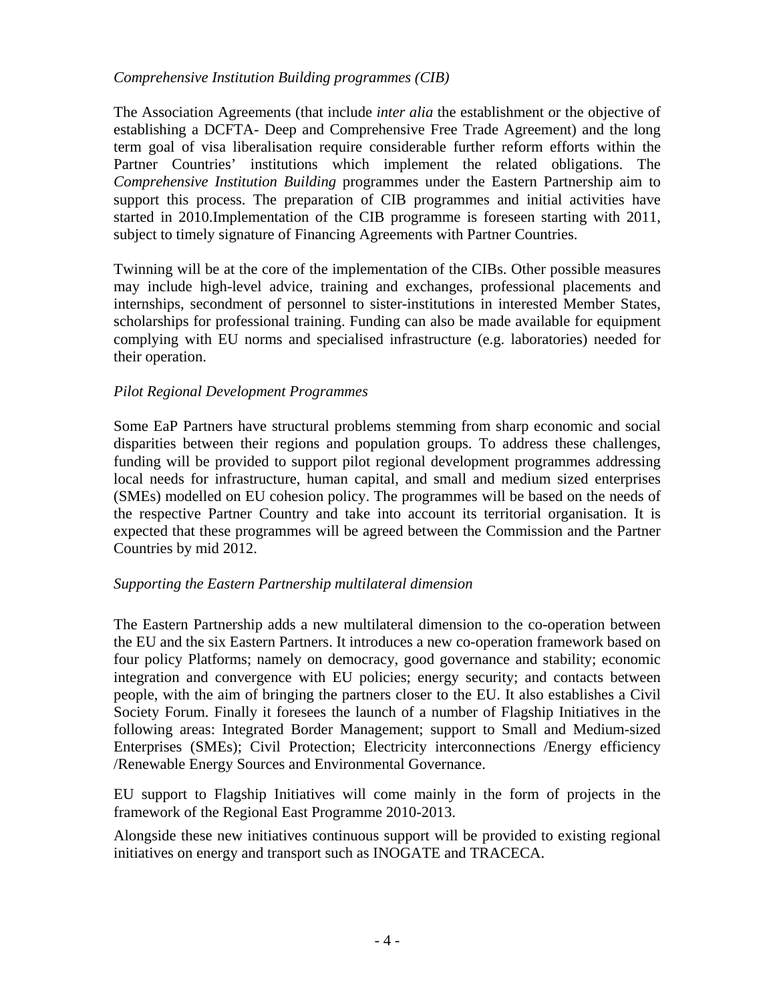#### *Comprehensive Institution Building programmes (CIB)*

The Association Agreements (that include *inter alia* the establishment or the objective of establishing a DCFTA- Deep and Comprehensive Free Trade Agreement) and the long term goal of visa liberalisation require considerable further reform efforts within the Partner Countries' institutions which implement the related obligations. The *Comprehensive Institution Building* programmes under the Eastern Partnership aim to support this process. The preparation of CIB programmes and initial activities have started in 2010.Implementation of the CIB programme is foreseen starting with 2011, subject to timely signature of Financing Agreements with Partner Countries.

Twinning will be at the core of the implementation of the CIBs. Other possible measures may include high-level advice, training and exchanges, professional placements and internships, secondment of personnel to sister-institutions in interested Member States, scholarships for professional training. Funding can also be made available for equipment complying with EU norms and specialised infrastructure (e.g. laboratories) needed for their operation.

# *Pilot Regional Development Programmes*

Some EaP Partners have structural problems stemming from sharp economic and social disparities between their regions and population groups. To address these challenges, funding will be provided to support pilot regional development programmes addressing local needs for infrastructure, human capital, and small and medium sized enterprises (SMEs) modelled on EU cohesion policy. The programmes will be based on the needs of the respective Partner Country and take into account its territorial organisation. It is expected that these programmes will be agreed between the Commission and the Partner Countries by mid 2012.

#### *Supporting the Eastern Partnership multilateral dimension*

The Eastern Partnership adds a new multilateral dimension to the co-operation between the EU and the six Eastern Partners. It introduces a new co-operation framework based on four policy Platforms; namely on democracy, good governance and stability; economic integration and convergence with EU policies; energy security; and contacts between people, with the aim of bringing the partners closer to the EU. It also establishes a Civil Society Forum. Finally it foresees the launch of a number of Flagship Initiatives in the following areas: Integrated Border Management; support to Small and Medium-sized Enterprises (SMEs); Civil Protection; Electricity interconnections /Energy efficiency /Renewable Energy Sources and Environmental Governance.

EU support to Flagship Initiatives will come mainly in the form of projects in the framework of the Regional East Programme 2010-2013.

Alongside these new initiatives continuous support will be provided to existing regional initiatives on energy and transport such as INOGATE and TRACECA.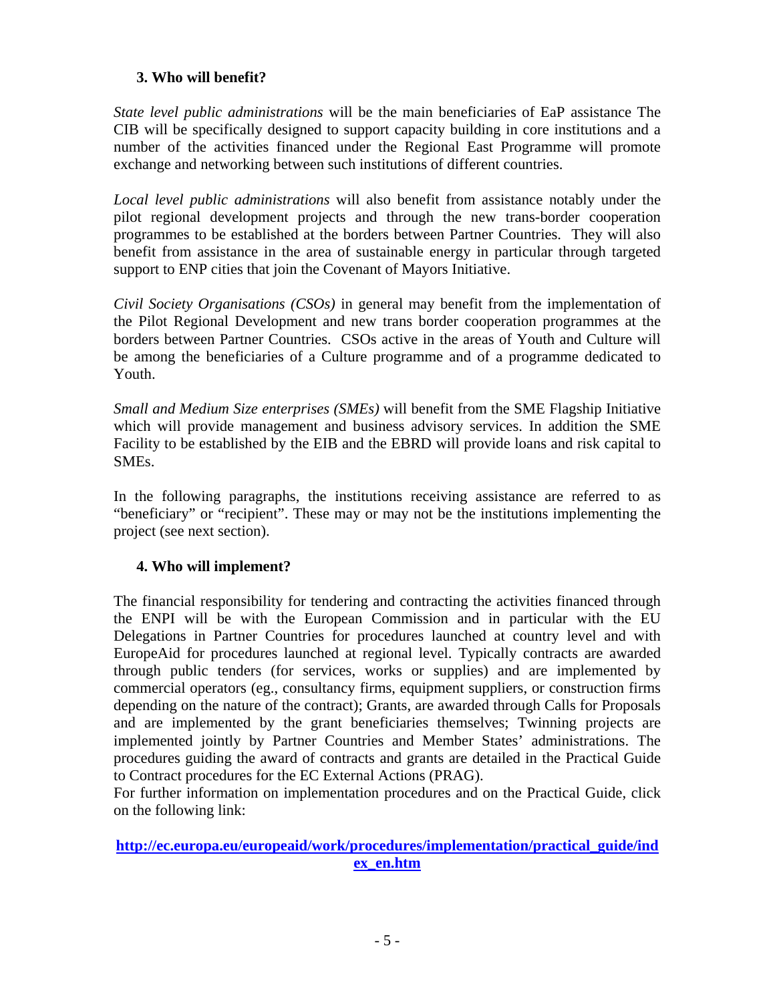# **3. Who will benefit?**

*State level public administrations* will be the main beneficiaries of EaP assistance The CIB will be specifically designed to support capacity building in core institutions and a number of the activities financed under the Regional East Programme will promote exchange and networking between such institutions of different countries.

*Local level public administrations* will also benefit from assistance notably under the pilot regional development projects and through the new trans-border cooperation programmes to be established at the borders between Partner Countries. They will also benefit from assistance in the area of sustainable energy in particular through targeted support to ENP cities that join the Covenant of Mayors Initiative.

*Civil Society Organisations (CSOs)* in general may benefit from the implementation of the Pilot Regional Development and new trans border cooperation programmes at the borders between Partner Countries. CSOs active in the areas of Youth and Culture will be among the beneficiaries of a Culture programme and of a programme dedicated to Youth.

*Small and Medium Size enterprises (SMEs)* will benefit from the SME Flagship Initiative which will provide management and business advisory services. In addition the SME Facility to be established by the EIB and the EBRD will provide loans and risk capital to SMEs.

In the following paragraphs, the institutions receiving assistance are referred to as "beneficiary" or "recipient". These may or may not be the institutions implementing the project (see next section).

# **4. Who will implement?**

The financial responsibility for tendering and contracting the activities financed through the ENPI will be with the European Commission and in particular with the EU Delegations in Partner Countries for procedures launched at country level and with EuropeAid for procedures launched at regional level. Typically contracts are awarded through public tenders (for services, works or supplies) and are implemented by commercial operators (eg., consultancy firms, equipment suppliers, or construction firms depending on the nature of the contract); Grants, are awarded through Calls for Proposals and are implemented by the grant beneficiaries themselves; Twinning projects are implemented jointly by Partner Countries and Member States' administrations. The procedures guiding the award of contracts and grants are detailed in the Practical Guide to Contract procedures for the EC External Actions (PRAG).

For further information on implementation procedures and on the Practical Guide, click on the following link:

**[http://ec.europa.eu/europeaid/work/procedures/implementation/practical\\_guide/ind](http://ec.europa.eu/europeaid/work/procedures/implementation/practical_guide/index_en.htm) [ex\\_en.htm](http://ec.europa.eu/europeaid/work/procedures/implementation/practical_guide/index_en.htm)**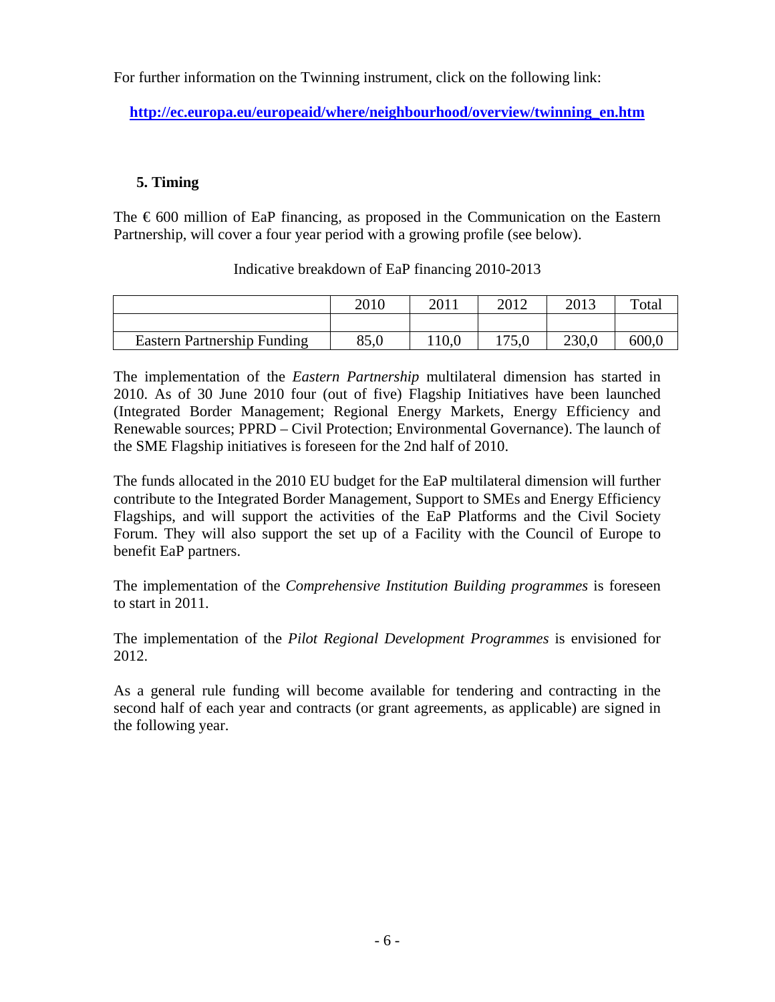For further information on the Twinning instrument, click on the following link:

**[http://ec.europa.eu/europeaid/where/neighbourhood/overview/twinning\\_en.htm](http://ec.europa.eu/europeaid/where/neighbourhood/overview/twinning_en.htm)**

# **5. Timing**

The  $\epsilon$  600 million of EaP financing, as proposed in the Communication on the Eastern Partnership, will cover a four year period with a growing profile (see below).

|                                    | 2010 | 2011  | 2012  | 2013  | Total |
|------------------------------------|------|-------|-------|-------|-------|
|                                    |      |       |       |       |       |
| <b>Eastern Partnership Funding</b> | 85,0 | 110,0 | 175,0 | 230,0 | 600,0 |

# Indicative breakdown of EaP financing 2010-2013

The implementation of the *Eastern Partnership* multilateral dimension has started in 2010. As of 30 June 2010 four (out of five) Flagship Initiatives have been launched (Integrated Border Management; Regional Energy Markets, Energy Efficiency and Renewable sources; PPRD – Civil Protection; Environmental Governance). The launch of the SME Flagship initiatives is foreseen for the 2nd half of 2010.

The funds allocated in the 2010 EU budget for the EaP multilateral dimension will further contribute to the Integrated Border Management, Support to SMEs and Energy Efficiency Flagships, and will support the activities of the EaP Platforms and the Civil Society Forum. They will also support the set up of a Facility with the Council of Europe to benefit EaP partners.

The implementation of the *Comprehensive Institution Building programmes* is foreseen to start in 2011.

The implementation of the *Pilot Regional Development Programmes* is envisioned for 2012.

As a general rule funding will become available for tendering and contracting in the second half of each year and contracts (or grant agreements, as applicable) are signed in the following year.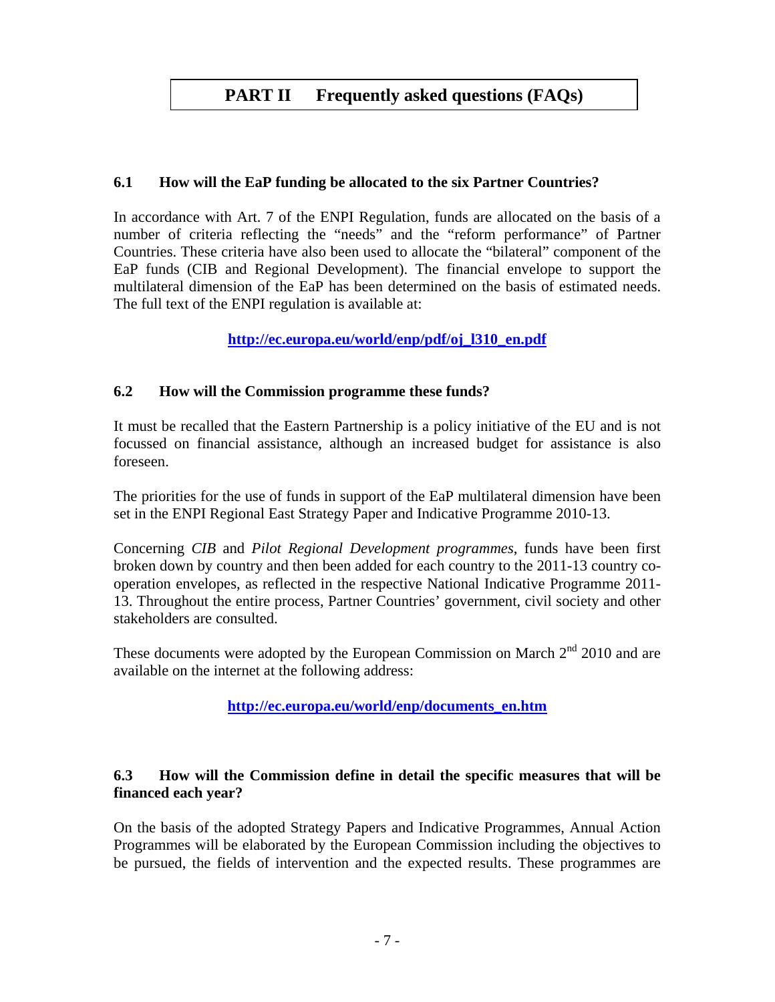# **PART II Frequently asked questions (FAQs)**

#### **6.1 How will the EaP funding be allocated to the six Partner Countries?**

In accordance with Art. 7 of the ENPI Regulation, funds are allocated on the basis of a number of criteria reflecting the "needs" and the "reform performance" of Partner Countries. These criteria have also been used to allocate the "bilateral" component of the EaP funds (CIB and Regional Development). The financial envelope to support the multilateral dimension of the EaP has been determined on the basis of estimated needs. The full text of the ENPI regulation is available at:

# **[http://ec.europa.eu/world/enp/pdf/oj\\_l310\\_en.pdf](http://ec.europa.eu/world/enp/pdf/oj_l310_en.pdf)**

# **6.2 How will the Commission programme these funds?**

It must be recalled that the Eastern Partnership is a policy initiative of the EU and is not focussed on financial assistance, although an increased budget for assistance is also foreseen.

The priorities for the use of funds in support of the EaP multilateral dimension have been set in the ENPI Regional East Strategy Paper and Indicative Programme 2010-13.

Concerning *CIB* and *Pilot Regional Development programmes*, funds have been first broken down by country and then been added for each country to the 2011-13 country cooperation envelopes, as reflected in the respective National Indicative Programme 2011- 13. Throughout the entire process, Partner Countries' government, civil society and other stakeholders are consulted.

These documents were adopted by the European Commission on March  $2<sup>nd</sup>$  2010 and are available on the internet at the following address:

**[http://ec.europa.eu/world/enp/documents\\_en.htm](http://ec.europa.eu/world/enp/documents_en.htm)**

#### **6.3 How will the Commission define in detail the specific measures that will be financed each year?**

On the basis of the adopted Strategy Papers and Indicative Programmes, Annual Action Programmes will be elaborated by the European Commission including the objectives to be pursued, the fields of intervention and the expected results. These programmes are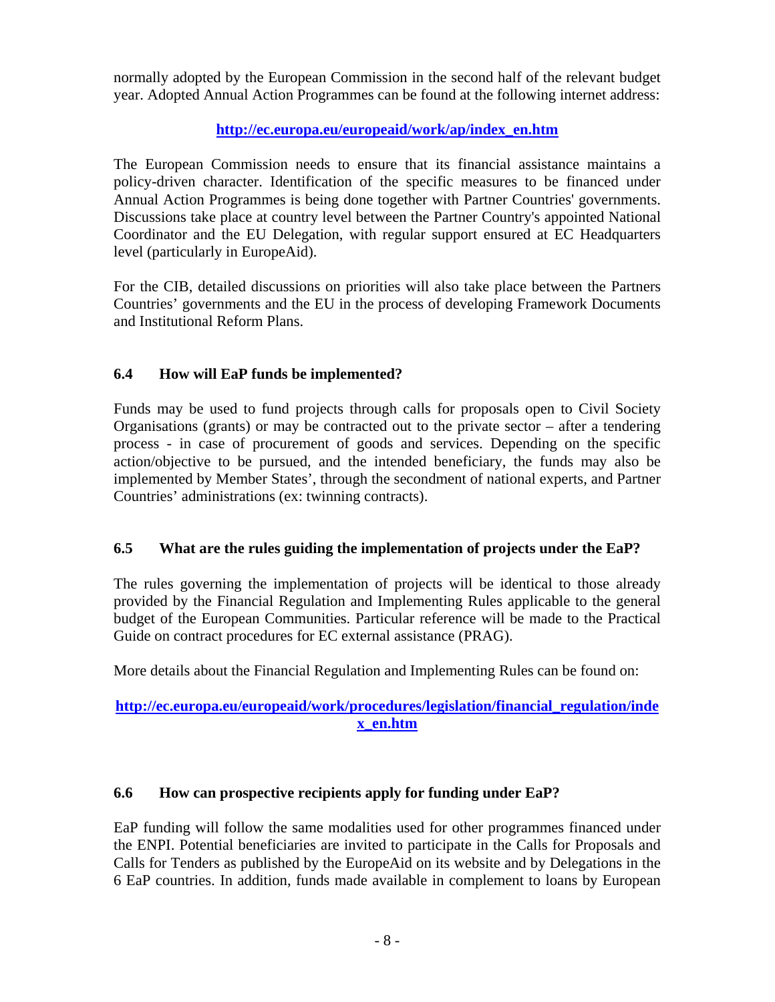normally adopted by the European Commission in the second half of the relevant budget year. Adopted Annual Action Programmes can be found at the following internet address:

# **[http://ec.europa.eu/europeaid/work/ap/index\\_en.htm](http://ec.europa.eu/europeaid/work/ap/index_en.htm)**

The European Commission needs to ensure that its financial assistance maintains a policy-driven character. Identification of the specific measures to be financed under Annual Action Programmes is being done together with Partner Countries' governments. Discussions take place at country level between the Partner Country's appointed National Coordinator and the EU Delegation, with regular support ensured at EC Headquarters level (particularly in EuropeAid).

For the CIB, detailed discussions on priorities will also take place between the Partners Countries' governments and the EU in the process of developing Framework Documents and Institutional Reform Plans.

# **6.4 How will EaP funds be implemented?**

Funds may be used to fund projects through calls for proposals open to Civil Society Organisations (grants) or may be contracted out to the private sector – after a tendering process - in case of procurement of goods and services. Depending on the specific action/objective to be pursued, and the intended beneficiary, the funds may also be implemented by Member States', through the secondment of national experts, and Partner Countries' administrations (ex: twinning contracts).

# **6.5 What are the rules guiding the implementation of projects under the EaP?**

The rules governing the implementation of projects will be identical to those already provided by the Financial Regulation and Implementing Rules applicable to the general budget of the European Communities. Particular reference will be made to the Practical Guide on contract procedures for EC external assistance (PRAG).

More details about the Financial Regulation and Implementing Rules can be found on:

# **[http://ec.europa.eu/europeaid/work/procedures/legislation/financial\\_regulation/inde](http://ec.europa.eu/europeaid/work/procedures/legislation/financial_regulation/index_en.htm) [x\\_en.htm](http://ec.europa.eu/europeaid/work/procedures/legislation/financial_regulation/index_en.htm)**

# **6.6 How can prospective recipients apply for funding under EaP?**

EaP funding will follow the same modalities used for other programmes financed under the ENPI. Potential beneficiaries are invited to participate in the Calls for Proposals and Calls for Tenders as published by the EuropeAid on its website and by Delegations in the 6 EaP countries. In addition, funds made available in complement to loans by European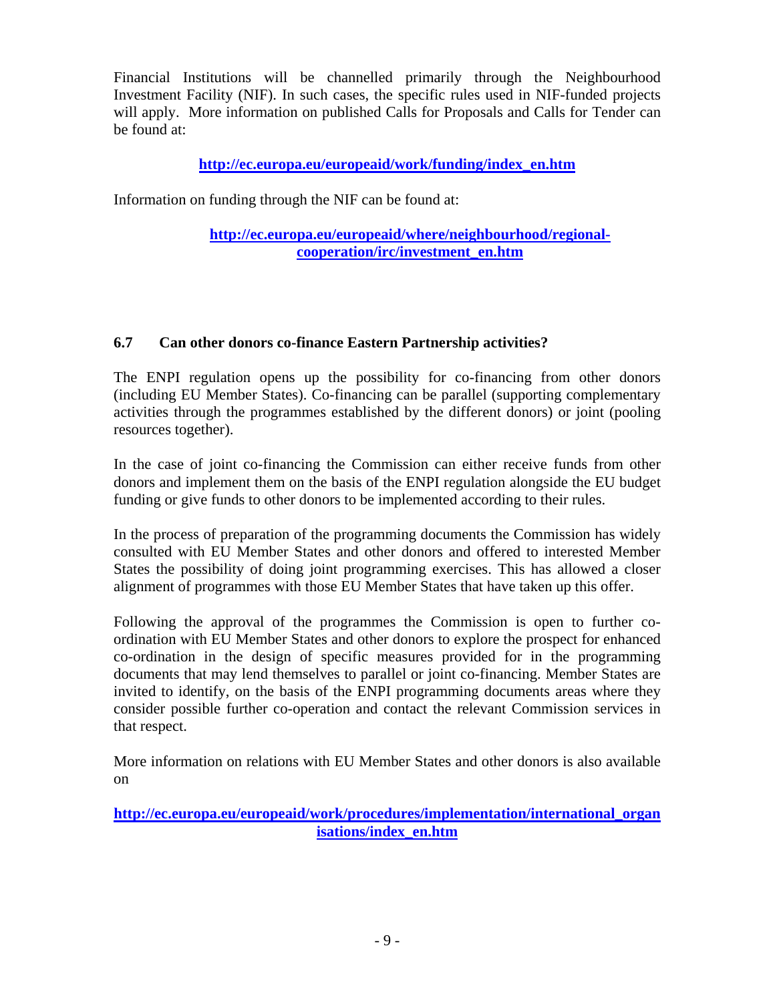Financial Institutions will be channelled primarily through the Neighbourhood Investment Facility (NIF). In such cases, the specific rules used in NIF-funded projects will apply. More information on published Calls for Proposals and Calls for Tender can be found at:

**[http://ec.europa.eu/europeaid/work/funding/index\\_en.htm](http://ec.europa.eu/europeaid/work/funding/index_en.htm)** 

Information on funding through the NIF can be found at:

**[http://ec.europa.eu/europeaid/where/neighbourhood/regional](http://ec.europa.eu/europeaid/where/neighbourhood/regional-cooperation/irc/investment_en.htm)[cooperation/irc/investment\\_en.htm](http://ec.europa.eu/europeaid/where/neighbourhood/regional-cooperation/irc/investment_en.htm)**

# **6.7 Can other donors co-finance Eastern Partnership activities?**

The ENPI regulation opens up the possibility for co-financing from other donors (including EU Member States). Co-financing can be parallel (supporting complementary activities through the programmes established by the different donors) or joint (pooling resources together).

In the case of joint co-financing the Commission can either receive funds from other donors and implement them on the basis of the ENPI regulation alongside the EU budget funding or give funds to other donors to be implemented according to their rules.

In the process of preparation of the programming documents the Commission has widely consulted with EU Member States and other donors and offered to interested Member States the possibility of doing joint programming exercises. This has allowed a closer alignment of programmes with those EU Member States that have taken up this offer.

Following the approval of the programmes the Commission is open to further coordination with EU Member States and other donors to explore the prospect for enhanced co-ordination in the design of specific measures provided for in the programming documents that may lend themselves to parallel or joint co-financing. Member States are invited to identify, on the basis of the ENPI programming documents areas where they consider possible further co-operation and contact the relevant Commission services in that respect.

More information on relations with EU Member States and other donors is also available on

**[http://ec.europa.eu/europeaid/work/procedures/implementation/international\\_organ](http://ec.europa.eu/europeaid/work/procedures/implementation/international_organisations/index_en.htm) [isations/index\\_en.htm](http://ec.europa.eu/europeaid/work/procedures/implementation/international_organisations/index_en.htm)**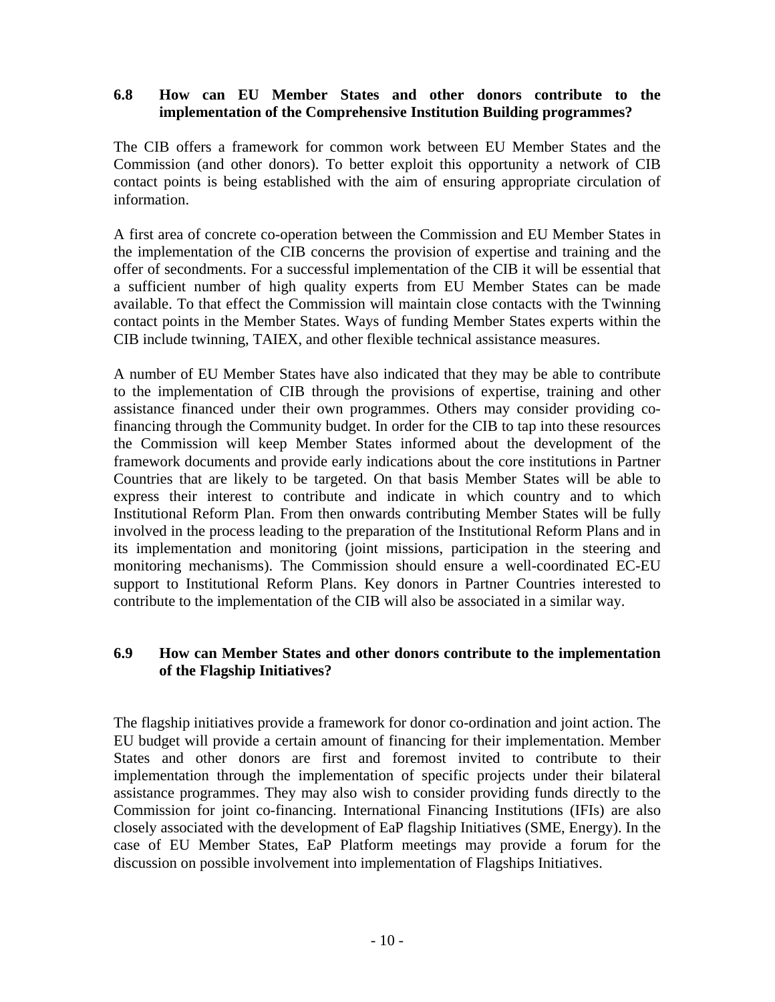# **6.8 How can EU Member States and other donors contribute to the implementation of the Comprehensive Institution Building programmes?**

The CIB offers a framework for common work between EU Member States and the Commission (and other donors). To better exploit this opportunity a network of CIB contact points is being established with the aim of ensuring appropriate circulation of information.

A first area of concrete co-operation between the Commission and EU Member States in the implementation of the CIB concerns the provision of expertise and training and the offer of secondments. For a successful implementation of the CIB it will be essential that a sufficient number of high quality experts from EU Member States can be made available. To that effect the Commission will maintain close contacts with the Twinning contact points in the Member States. Ways of funding Member States experts within the CIB include twinning, TAIEX, and other flexible technical assistance measures.

A number of EU Member States have also indicated that they may be able to contribute to the implementation of CIB through the provisions of expertise, training and other assistance financed under their own programmes. Others may consider providing cofinancing through the Community budget. In order for the CIB to tap into these resources the Commission will keep Member States informed about the development of the framework documents and provide early indications about the core institutions in Partner Countries that are likely to be targeted. On that basis Member States will be able to express their interest to contribute and indicate in which country and to which Institutional Reform Plan. From then onwards contributing Member States will be fully involved in the process leading to the preparation of the Institutional Reform Plans and in its implementation and monitoring (joint missions, participation in the steering and monitoring mechanisms). The Commission should ensure a well-coordinated EC-EU support to Institutional Reform Plans. Key donors in Partner Countries interested to contribute to the implementation of the CIB will also be associated in a similar way.

# **6.9 How can Member States and other donors contribute to the implementation of the Flagship Initiatives?**

The flagship initiatives provide a framework for donor co-ordination and joint action. The EU budget will provide a certain amount of financing for their implementation. Member States and other donors are first and foremost invited to contribute to their implementation through the implementation of specific projects under their bilateral assistance programmes. They may also wish to consider providing funds directly to the Commission for joint co-financing. International Financing Institutions (IFIs) are also closely associated with the development of EaP flagship Initiatives (SME, Energy). In the case of EU Member States, EaP Platform meetings may provide a forum for the discussion on possible involvement into implementation of Flagships Initiatives.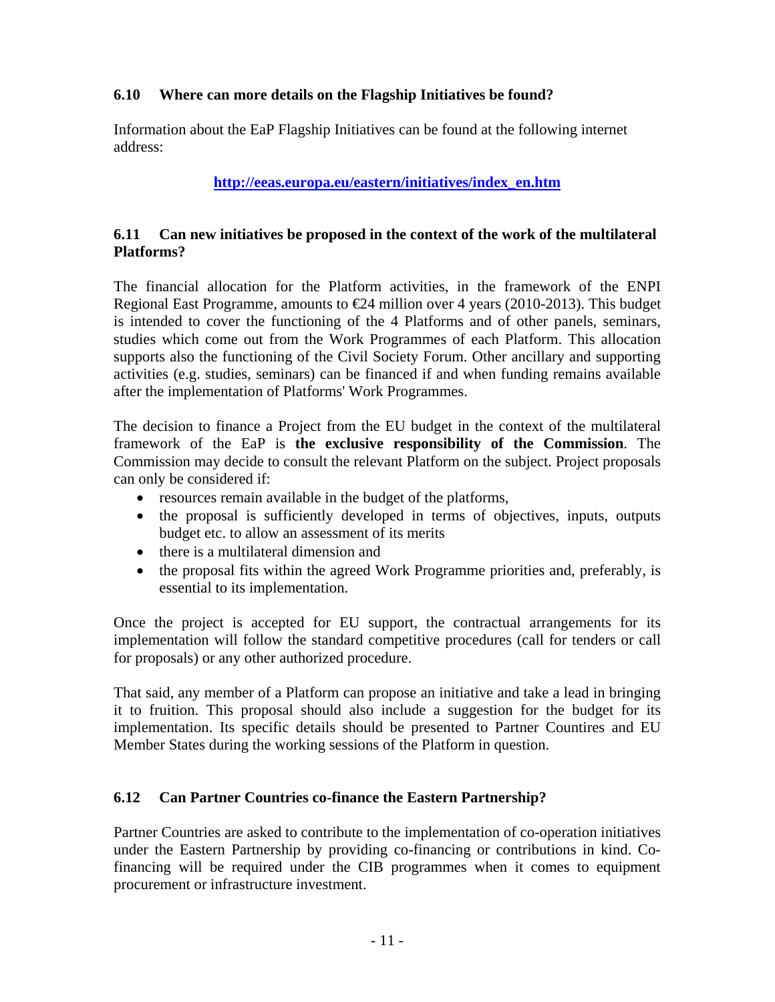# **6.10 Where can more details on the Flagship Initiatives be found?**

Information about the EaP Flagship Initiatives can be found at the following internet address:

# **[http://eeas.europa.eu/eastern/initiatives/index\\_en.htm](http://eeas.europa.eu/eastern/initiatives/index_en.htm)**

# **6.11 Can new initiatives be proposed in the context of the work of the multilateral Platforms?**

The financial allocation for the Platform activities, in the framework of the ENPI Regional East Programme, amounts to €24 million over 4 years (2010-2013). This budget is intended to cover the functioning of the 4 Platforms and of other panels, seminars, studies which come out from the Work Programmes of each Platform. This allocation supports also the functioning of the Civil Society Forum. Other ancillary and supporting activities (e.g. studies, seminars) can be financed if and when funding remains available after the implementation of Platforms' Work Programmes.

The decision to finance a Project from the EU budget in the context of the multilateral framework of the EaP is **the exclusive responsibility of the Commission**. The Commission may decide to consult the relevant Platform on the subject. Project proposals can only be considered if:

- resources remain available in the budget of the platforms,
- the proposal is sufficiently developed in terms of objectives, inputs, outputs budget etc. to allow an assessment of its merits
- there is a multilateral dimension and
- the proposal fits within the agreed Work Programme priorities and, preferably, is essential to its implementation.

Once the project is accepted for EU support, the contractual arrangements for its implementation will follow the standard competitive procedures (call for tenders or call for proposals) or any other authorized procedure.

That said, any member of a Platform can propose an initiative and take a lead in bringing it to fruition. This proposal should also include a suggestion for the budget for its implementation. Its specific details should be presented to Partner Countires and EU Member States during the working sessions of the Platform in question.

# **6.12 Can Partner Countries co-finance the Eastern Partnership?**

Partner Countries are asked to contribute to the implementation of co-operation initiatives under the Eastern Partnership by providing co-financing or contributions in kind. Cofinancing will be required under the CIB programmes when it comes to equipment procurement or infrastructure investment.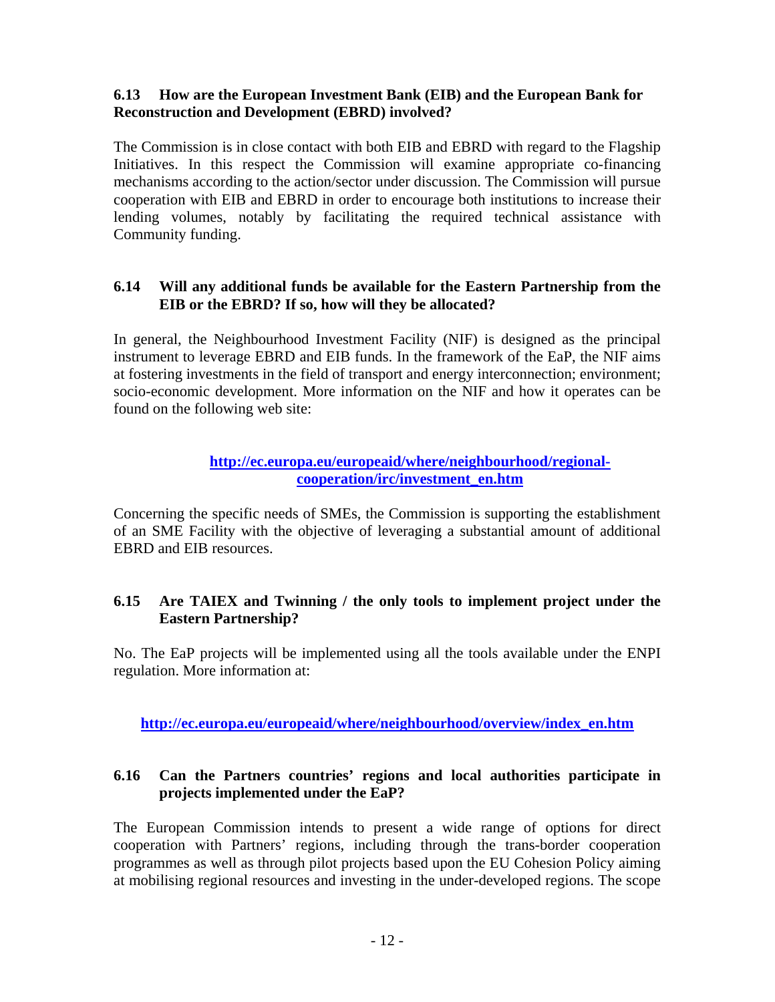# **6.13 How are the European Investment Bank (EIB) and the European Bank for Reconstruction and Development (EBRD) involved?**

The Commission is in close contact with both EIB and EBRD with regard to the Flagship Initiatives. In this respect the Commission will examine appropriate co-financing mechanisms according to the action/sector under discussion. The Commission will pursue cooperation with EIB and EBRD in order to encourage both institutions to increase their lending volumes, notably by facilitating the required technical assistance with Community funding.

# **6.14 Will any additional funds be available for the Eastern Partnership from the EIB or the EBRD? If so, how will they be allocated?**

In general, the Neighbourhood Investment Facility (NIF) is designed as the principal instrument to leverage EBRD and EIB funds. In the framework of the EaP, the NIF aims at fostering investments in the field of transport and energy interconnection; environment; socio-economic development. More information on the NIF and how it operates can be found on the following web site:

# **[http://ec.europa.eu/europeaid/where/neighbourhood/regional](http://ec.europa.eu/europeaid/where/neighbourhood/regional-cooperation/irc/investment_en.htm)[cooperation/irc/investment\\_en.htm](http://ec.europa.eu/europeaid/where/neighbourhood/regional-cooperation/irc/investment_en.htm)**

Concerning the specific needs of SMEs, the Commission is supporting the establishment of an SME Facility with the objective of leveraging a substantial amount of additional EBRD and EIB resources.

# **6.15 Are TAIEX and Twinning / the only tools to implement project under the Eastern Partnership?**

No. The EaP projects will be implemented using all the tools available under the ENPI regulation. More information at:

**[http://ec.europa.eu/europeaid/where/neighbourhood/overview/index\\_en.htm](http://ec.europa.eu/europeaid/where/neighbourhood/overview/index_en.htm)**

# **6.16 Can the Partners countries' regions and local authorities participate in projects implemented under the EaP?**

The European Commission intends to present a wide range of options for direct cooperation with Partners' regions, including through the trans-border cooperation programmes as well as through pilot projects based upon the EU Cohesion Policy aiming at mobilising regional resources and investing in the under-developed regions. The scope